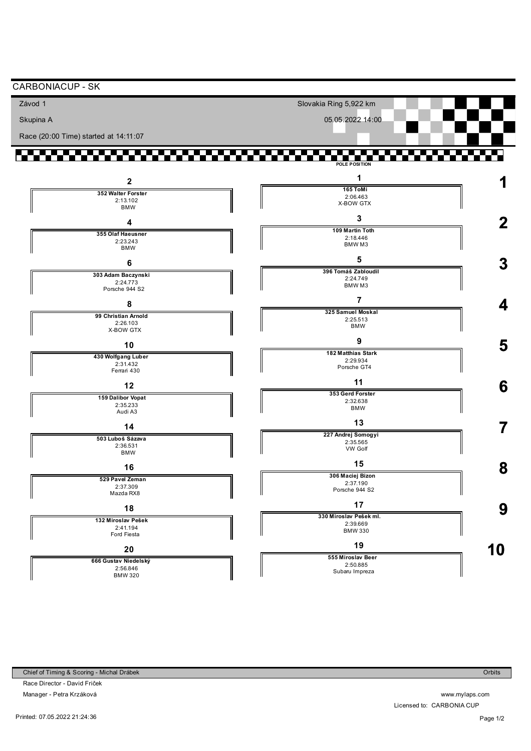| Závod 1                                            | Slovakia Ring 5,922 km                               |   |
|----------------------------------------------------|------------------------------------------------------|---|
| Skupina A                                          | 05.05.2022 14:00                                     |   |
| Race (20:00 Time) started at 14:11:07              |                                                      |   |
| <b>Contract</b>                                    | a ka<br><b>Contract</b><br>.                         |   |
| $\mathbf{2}$                                       | POLE POSITION<br>1                                   |   |
| 352 Walter Forster<br>2:13.102<br><b>BMW</b>       | 165 ToMi<br>2:06.463<br>X-BOW GTX                    |   |
| 4                                                  | 3                                                    | 2 |
| 355 Olaf Haeusner<br>2:23.243<br><b>BMW</b>        | 109 Martin Toth<br>2:18.446<br>BMW <sub>M3</sub>     |   |
| 6                                                  | 5<br>396 Tomáš Zabloudil                             | 3 |
| 303 Adam Baczynski<br>2:24.773<br>Porsche 944 S2   | 2:24.749<br>BMW <sub>M3</sub>                        |   |
| 8                                                  | 7                                                    | 4 |
| 99 Christian Arnold<br>2:26.103<br>X-BOW GTX       | 325 Samuel Moskal<br>2:25.513<br><b>BMW</b>          |   |
| 10                                                 | 9                                                    | 5 |
| 430 Wolfgang Luber<br>2:31.432<br>Ferrari 430      | 182 Matthias Stark<br>2:29.934<br>Porsche GT4        |   |
| 12                                                 | 11                                                   | 6 |
| 159 Dalibor Vopat<br>2:35.233<br>Audi A3           | 353 Gerd Forster<br>2:32.638<br><b>BMW</b>           |   |
| 14                                                 | 13                                                   |   |
| 503 Luboš Sázava<br>2:36.531<br><b>BMW</b>         | 227 Andrej Somogyi<br>2:35.565<br>VW Golf            |   |
| 16                                                 | 15                                                   | 8 |
| 529 Pavel Zeman<br>2:37.309<br>Mazda RX8           | 306 Maciej Bizon<br>2:37.190<br>Porsche 944 S2       |   |
| 18                                                 | 17                                                   | 9 |
| 132 Miroslav Pešek<br>2:41.194<br>Ford Fiesta      | 330 Miroslav Pešek ml.<br>2:39.669<br><b>BMW 330</b> |   |
| 20                                                 | 19                                                   | 0 |
| 666 Gustav Niedelský<br>2:56.846<br><b>BMW 320</b> | 555 Miroslav Beer<br>2:50.885<br>Subaru Impreza      |   |

Race Director - David Friček Manager - Petra Krzáková

Printed: 07.05.2022 21:24:36

www.mylaps.com Licensed to: CARBONIA CUP

**Orbits**